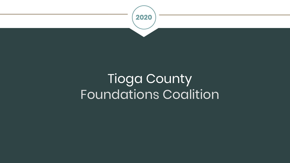

# Tioga County Foundations Coalition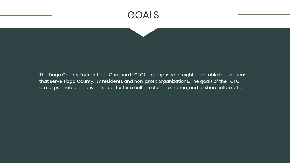## GOALS

The Tioga County Foundations Coalition (TCFC) is comprised of eight charitable foundations that serve Tioga County, NY residents and non-profit organizations. The goals of the TCFC are to promote collective impact, foster a culture of collaboration, and to share information.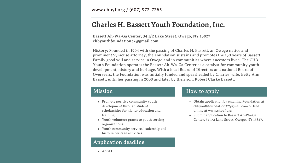www.chbyf.org / (607) 972-7265

## **Charles H. Bassett Youth Foundation, Inc.**

**Bassett Ah-Wa-Ga Center, 34 1/2 Lake Street, Owego, NY 13827 chbyouthfoundation37@gmail.com**

**History:** Founded in 1994 with the passing of Charles H. Bassett, an Owego native and prominent Syracuse attorney, the Foundation sustains and promotes the 150 years of Bassett Family good will and service in Owego and in communities where ancestors lived. The CHB Youth Foundation operates the Bassett Ah-Wa-Ga Center as a catalyst for community youth development, history and heritage. With a local Board of Directors and national Board of Overseers, the Foundation was initially funded and spearheaded by Charles' wife, Betty Ann Bassett, until her passing in 2008 and later by their son, Robert Clarke Bassett.

#### Mission

- Promote positive community youth development through student scholarships for higher education and training.
- Youth volunteer grants to youth serving organizations.
- Youth community service, leadership and history-heritage activities.

#### Application deadline

April 1

#### How to apply

- Obtain application by emailing Foundation at chbyouthfoundation37@gmail.com or find online at www.chbyf.org
- Submit application to Bassett Ah-Wa-Ga Center, 34 1/2 Lake Street, Owego, NY 13827.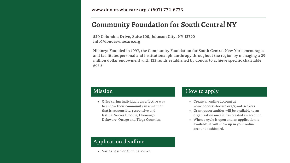www.donorswhocare.org / (607) 772-6773

### **Community Foundation for South Central NY**

**520 Columbia Drive, Suite 100, Johnson City, NY 13790 info@donorswhocare.org**

**History:** Founded in 1997, the Community Foundation for South Central New York encourages and facilitates personal and institutional philanthropy throughout the region by managing a 29 million dollar endowment with 123 funds established by donors to achieve specific charitable goals.

#### Mission

Offer caring individuals an effective way to endow their community in a manner that is responsible, responsive and lasting. Serves Broome, Chenango, Delaware, Otsego and Tioga Counties.

#### How to apply

- Create an online account at www.donorswhocare.org/grant-seekers
- Grant opportunities will be available to an organization once it has created an account.
- When a cycle is open and an application is available, it will show up in your online account dashboard.

#### Application deadline

Varies based on funding source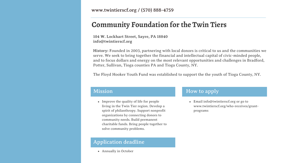www.twintierscf.org / (570) 888-4759

## **Community Foundation for the Twin Tiers**

**104 W. Lockhart Street, Sayre, PA 18840 info@twintierscf.org**

**History:** Founded in 2003, partnering with local donors is critical to us and the communities we serve. We seek to bring together the financial and intellectual capital of civic-minded people, and to focus dollars and energy on the most relevant opportunities and challenges in Bradford, Potter, Sullivan, Tioga counties PA and Tioga County, NY.

The Floyd Hooker Youth Fund was established to support the the youth of Tioga County, NY.

#### Mission

• Improve the quality of life for people living in the Twin Tier region. Develop a spirit of philanthropy. Support nonprofit organizations by connecting donors to community needs. Build permanent charitable funds. Bring people together to solve community problems.

#### Application deadline

Annually in October

#### How to apply

Email info@twintierscf.org or go to www.twintierscf.org/who-receives/grantprograms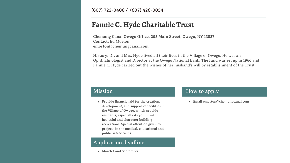(607) 722-0406 / (607) 426-0054

## **Fannie C. Hyde Charitable Trust**

**Chemung Canal Owego Office, 203 Main Street, Owego, NY 13827 Contact:** Ed Morton **emorton@chemungcanal.com**

**History:** Dr. and Mrs. Hyde lived all their lives in the Village of Owego. He was an Ophthalmologist and Director at the Owego National Bank. The fund was set up in 1966 and Fannie C. Hyde carried out the wishes of her husband's will by establishment of the Trust.

#### Mission

Provide financial aid for the creation, development, and support of facilities in the Village of Owego, which provide residents, especially its youth, with healthful and character building recreations. Special attention given to projects in the medical, educational and public safety fields.

#### Application deadline

March 1 and September 1

#### How to apply

Email emorton@chemungcanal.com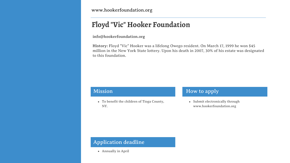www.hookerfoundation.org

## **Floyd "Vic" Hooker Foundation**

**info@hookerfoundation.org**

**History:** Floyd "Vic" Hooker was a lifelong Owego resident. On March 17, 1999 he won \$45 million in the New York State lottery. Upon his death in 2007, 30% of his estate was designated to this foundation.

#### Mission

To benefit the children of Tioga County, NY.

#### How to apply

• Submit electronically through www.hookerfoundation.org

#### Application deadline

Annually in April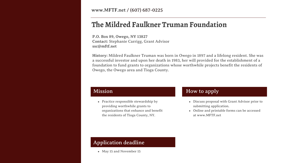www.MFTF.net / (607) 687-0225

### **The Mildred Faulkner Truman Foundation**

**P.O. Box 89, Owego, NY 13827 Contact:** Stephanie Carrigg, Grant Advisor **ssc@mftf.net**

**History:** Mildred Faulkner Truman was born in Owego in 1897 and a lifelong resident. She was a successful investor and upon her death in 1983, her will provided for the establishment of a foundation to fund grants to organizations whose worthwhile projects benefit the residents of Owego, the Owego area and Tioga County.

#### Mission

• Practice responsible stewardship by providing worthwhile grants to organizations that enhance and benefit the residents of Tioga County, NY.

#### How to apply

- Discuss proposal with Grant Advisor prior to submitting application.
- Online and printable forms can be accessed at www.MFTF.net

#### Application deadline

May 15 and November 15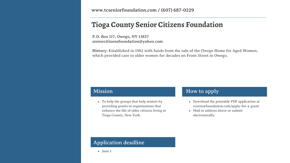www.tcseniorfoundation.com / (607) 687-0229

## **Tioga County Senior Citizens Foundation**

**P.O. Box 117, Owego, NY 13827 seniorcitizensfoundation@yahoo.com**

**History:** Established in 1982 with funds from the sale of the Owego Home for Aged Women, which provided care to older women for decades on Front Street in Owego.

#### Mission

To help the groups that help seniors by providing grants to organizations that enhance the life of older citizens living in Tioga County, New York.

#### How to apply

- Download the printable PDF application at tcseniorfoundation.com/apply-for-a-grant
- Mail to address above or submit electronically.

#### Application deadline

June 1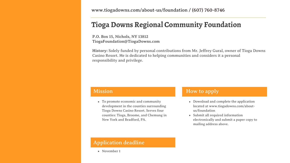www.tiogadowns.com/about-us/foundation / (607) 760-8746

## **Tioga Downs Regional Community Foundation**

**P.O. Box 15, Nichols, NY 13812 TiogaFoundation@TiogaDowns.com**

**History:** Solely funded by personal contributions from Mr. Jeffrey Gural, owner of Tioga Downs Casino Resort. He is dedicated to helping communities and considers it a personal responsibility and privilege.

#### Mission

To promote economic and community development in the counties surrounding Tioga Downs Casino Resort. Serves four counties: Tioga, Broome, and Chemung in New York and Bradford, PA.

#### How to apply

- Download and complete the application located at www.tiogadowns.com/aboutus/foundation
- Submit all required information electronically and submit a paper copy to mailing address above.

#### Application deadline

• November 1